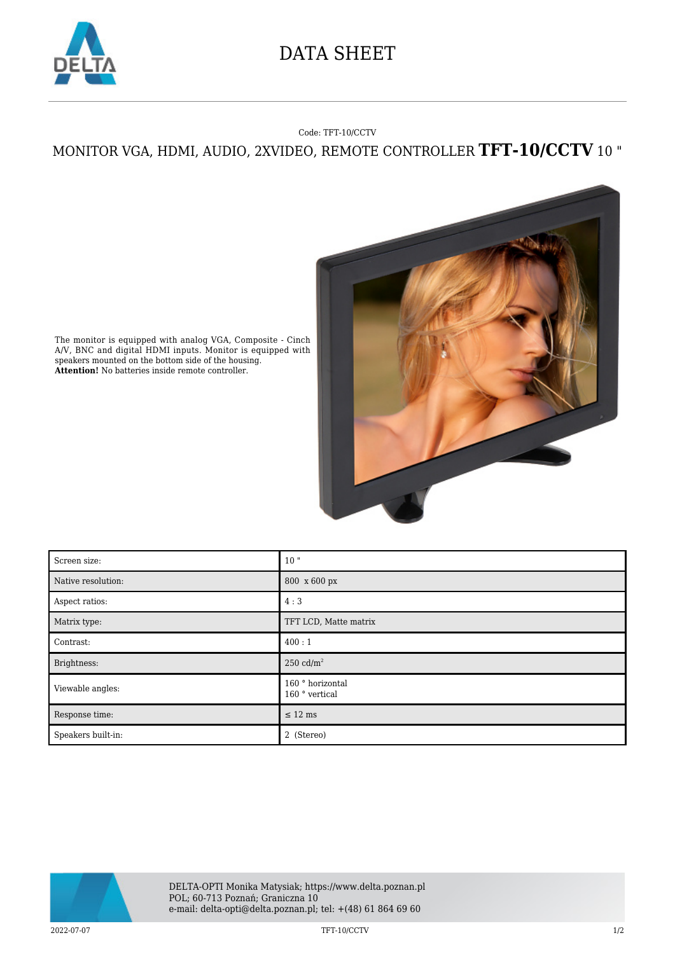

## DATA SHEET

## Code: TFT-10/CCTV

MONITOR VGA, HDMI, AUDIO, 2XVIDEO, REMOTE CONTROLLER **TFT-10/CCTV** 10 "



The monitor is equipped with analog VGA, Composite - Cinch A/V, BNC and digital HDMI inputs. Monitor is equipped with speakers mounted on the bottom side of the housing. **Attention!** No batteries inside remote controller.

| Screen size:       | 10"                                |
|--------------------|------------------------------------|
| Native resolution: | 800 x 600 px                       |
| Aspect ratios:     | 4:3                                |
| Matrix type:       | TFT LCD, Matte matrix              |
| Contrast:          | 400:1                              |
| Brightness:        | 250 $\text{cd/m}^2$                |
| Viewable angles:   | 160 ° horizontal<br>160 ° vertical |
| Response time:     | $\leq$ 12 ms                       |
| Speakers built-in: | 2 (Stereo)                         |



2022-07-07 TFT-10/CCTV 1/2